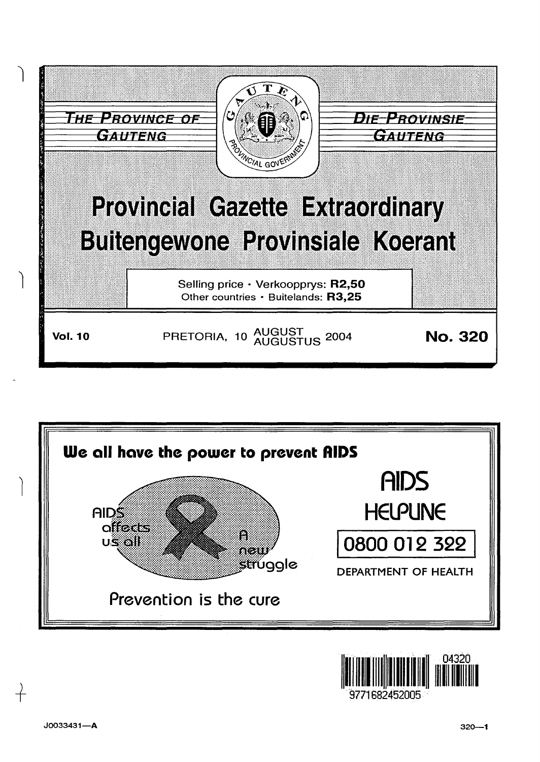





+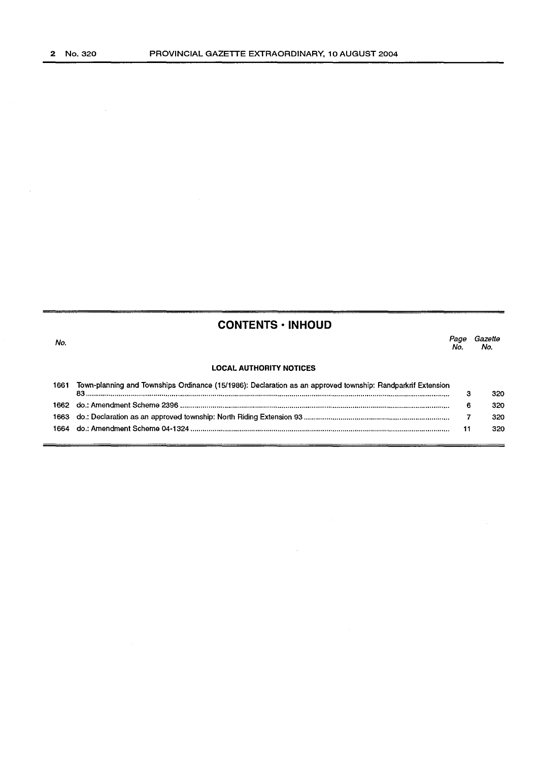$\bar{\beta}$ 

## **CONTENTS • INHOUD**

| No. | No. | Page Gazette<br>No. |
|-----|-----|---------------------|
|     |     |                     |

 $\mathcal{L}_{\rm{max}}$ 

## **LOCAL AUTHORITY NOTICES**

| 166 <sup>°</sup> | Town-planning and Townships Ordinance (15/1986): Declaration as an approved township: Randparkrif Extension | 320 |
|------------------|-------------------------------------------------------------------------------------------------------------|-----|
|                  |                                                                                                             | 320 |
|                  |                                                                                                             | 320 |
|                  |                                                                                                             | 320 |
|                  |                                                                                                             |     |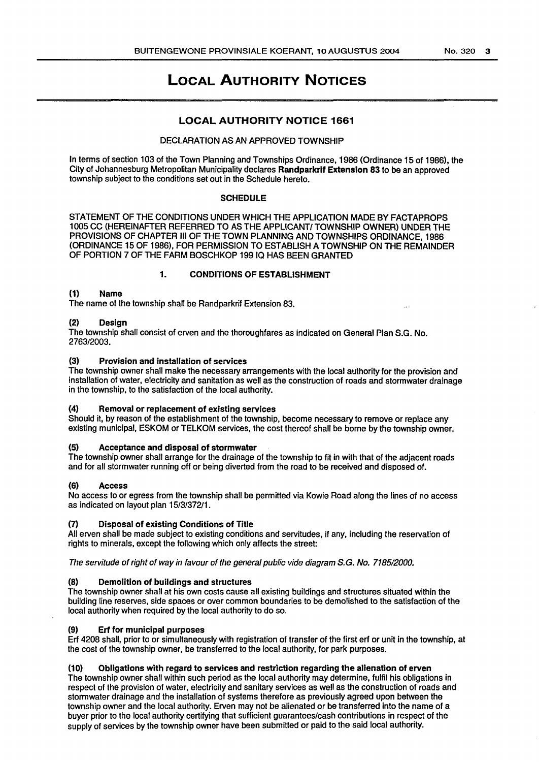# LOCAL AUTHORITY NOTICES

## LOCAL AUTHORITY NOTICE 1661

### DEClARATION AS AN APPROVED TOWNSHIP

In terms of section 103 of the Town Planning and Townships Ordinance, 1986 (Ordinance 15 of 1986), the City of Johannesburg Metropolitan Municipality declares Randparkrif Extension 83 to be an approved township subject to the conditions set out in the Schedule hereto.

#### **SCHEDULE**

STATEMENT OF THE CONDITIONS UNDER WHICH THE APPLICATION MADE BY FACTAPROPS 1005 CC (HEREINAFTER REFERRED TO AS THE APPLICANT/ TOWNSHIP OWNER) UNDER THE PROVISIONS OF CHAPTER Ill OF THE TOWN PlANNING AND TOWNSHIPS ORDINANCE, 1986 (ORDINANCE 15 OF 1986), FOR PERMISSION TO ESTABLISH A TOWNSHIP ON THE REMAINDER OF PORTION 7 OF THE FARM BOSCHKOP 19910 HAS BEEN GRANTED

### 1. CONDITIONS OF ESTABLISHMENT

## (1) Name

The name of the township shall be Randparkrif Extension 83.

### **Design**

The township shall consist of erven and the thoroughfares as indicated on General Plan S.G. No. 2763/2003.

## (3) Provision and installation of services

The township owner shall make the necessary arrangements with the local authority for the provision and installation of water, electricity and sanitation as well as the construction of roads and stormwater drainage in the township, to the satisfaction of the local authority.

#### (4) Removal or replacement of existing services

Should it, by reason of the establishment of the township, become necessary to remove or replace any existing municipal, ESKOM or TELKOM services, the cost thereof shall be borne by the township owner.

#### Acceptance and disposal of stormwater

The township owner shall arrange for the drainage of the township to fit in with that of the adjacent roads and for all stormwater running off or being diverted from the road to be received and disposed of.

#### (6) Access

No access to or egress from the township shall be permitted via Kowie Road along the lines of no access as indicated on layout plan 15/3/372/1.

## Disposal of existing Conditions of Title

All erven shall be made subject to existing conditions and servitudes, if any, including the reservation of rights to minerals, except the following which only affects the street:

The servitude of right of way in favour of the general public vide diagram S.G. No. 7185/2000.

#### Demolition of buildings and structures

The township owner shall at his own costs cause all existing buildings and structures situated within the building line reserves, side spaces or over common boundaries to be demolished to the satisfaction of the local authority when required by the local authority to do so.

#### Erf for municipal purposes

Erf 4208 shall, prior to or simultaneously with registration of transfer of the first erf or unit in the township, at the cost of the township owner, be transferred to the local authority, for park purposes.

#### (10) Obligations with regard to services and restriction regarding the alienation of erven

The township owner shall within such period as the local authority may determine, fulfil his obligations in respect of the provision of water, electricity and sanitary services as well as the construction of roads and stormwater drainage and the installation of systems therefore as previously agreed upon between the township owner and the local authority. Erven may not be alienated or be transferred into the name of a buyer prior to the local authority certifying that sufficient guarantees/cash contributions in respect of the supply of services by the township owner have been submitted or paid to the said local authority.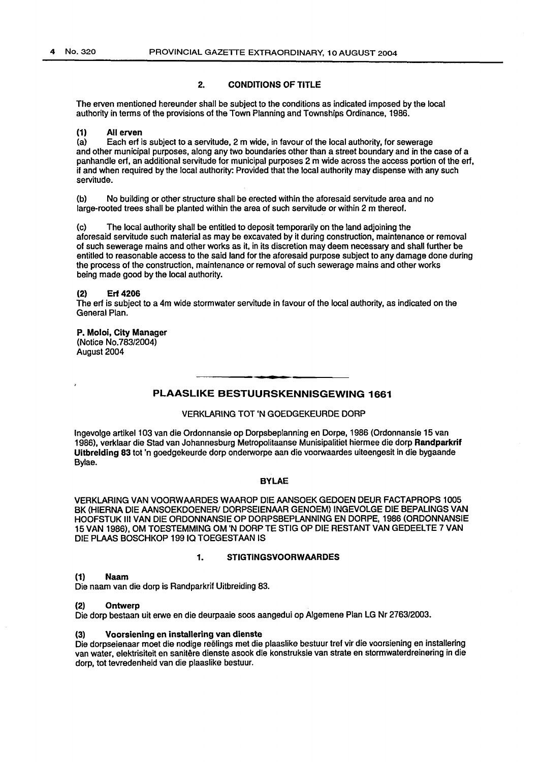### 2. CONDITIONS OF TITLE

The erven mentioned hereunder shall be subject to the conditions as indicated imposed by the local authority in terms of the provisions of the Town Planning and Townships Ordinance, 1986.

# (1) All erven<br>(a) Each erf

Each erf is subject to a servitude, 2 m wide, in favour of the local authority, for sewerage and other municipal purposes, along any two boundaries other than a street boundary and in the case of a panhandle erf, an additional servitude for municipal purposes 2m wide across the access portion of the erf, if and when required by the local authority: Provided that the local authority may dispense with any such servitude.

(b) No building or other structure shall be erected within the aforesaid servitude area and no large-rooted trees shall be planted within the area of such servitude or within 2 m thereof.

(c) The local authority shall be entitled to deposit temporarily on the land adjoining the aforesaid servitude such material as may be excavated by it during construction, maintenance or removal of such sewerage mains and other works as it, in its discretion may deem necessary and shall further be entitled to reasonable access to the said land for the aforesaid purpose subject to any damage done during the process of the construction, maintenance or removal of such sewerage mains and other works being made good by the local authority.

#### (2} Erf 4206

The erf is subject to a 4m wide stormwater servitude in favour of the local authority, as indicated on the General Plan.

#### P. Moloi, City Manager (Notice No.783/2004) August 2004

## PLAASLIKE BESTUURSKENNISGEWING 1661

#### VERKLARING TOT 'N GOEDGEKEURDE DORP

lngevolge artikel103 van die Ordonnansie op Dorpsbeplanning en Dorpe, 1986 (Ordonnansie 15 van 1986), verklaar die Stad van Johannesburg Metropolitaanse Munisipalitiet hiermee die dorp Randparkrif Uitbrelding 83 tot 'n goedgekeurde dorp onderworpe aan die voorwaardes uiteengesit in die bygaande Bylae.

## BYLAE

VERKLARING VAN VOORWAARDES WAAROP DIE AANSOEK GEDOEN DEUR FACTAPROPS 1005 BK (HIERNA DIE AANSOEKDOENER/ DORPSEIENAAR GENOEM) INGEVOLGE DIE BEPALINGS VAN HOOFSTUK Ill VAN DIE ORDONNANSIE OP DORPSBEPLANNING EN DORPE, 1986 (ORDONNANSIE 15VAN 1986), OM TOESTEMMING OM 'N DORPTESTIG OP DIERESTANTVAN GEDEELTE7VAN DIE PLAAS BOSCHKOP 199 IQ TOEGESTAAN IS

## 1. STIGTINGSVOORWAARDES

#### (1) Naam

Die naam van die dorp is Randparkrif Uitbreiding 83.

#### (2) Ontwerp

Die dorp bestaan uit erwe en die deurpaaie soos aangedui op Algemene Plan LG Nr 2763/2003.

#### (3} Voorsiening en installering van dienste

Die dorpseienaar meet die nodige reelings met die plaaslike bestuur tref vir die voorsiening en installering van water, elektrisiteit en sanitere dienste asook die konstruksie van strata en stormwaterdreinering in die dorp, tot tevredenheid van die plaaslike bestuur.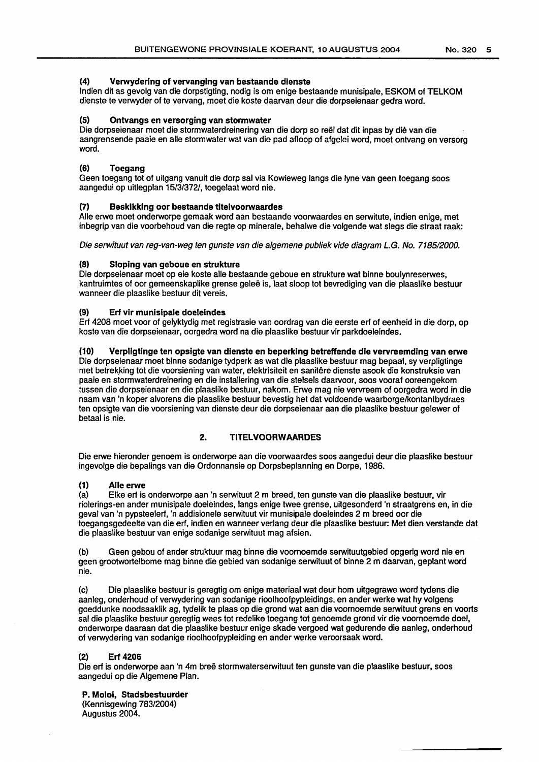## (4) Verwydering of vervanging van bestaande dienste

lndien dit as gevolg van die dorpstigting, nodig is om enige bestaande munisipale, ESKOM of TELKOM dienste te verwyder of te vervang, moet die koste daarvan deur die dorpseienaar gedra word.

## (5) Ontvangs en versorging van stormwater

Die dorpseienaar moet die stormwaterdreinering van die dorp so reel dat dit inpas by die van die aangrensende paaie en aile stormwater wat van die pad afloop of afgelei word, moet ontvang en versorg word.

## (6) Toegang

Geen toegang tot of uitgang vanuit die dorp sal via Kowieweg langs die lyne van geen toegang soos aangedui op uitlegplan 15/3/372/, toegelaat word nie.

### (7) Beskikking oor bestaande titelvoorwaardes

Aile erwe moet onderworpe gemaak word aan bestaande voorwaardes en serwitute, indian enige, met inbegrip van die voorbehoud van die regte op minerale, behalwe die volgende wat slegs die straat raak:

Die serwituut van reg-van-weg ten gunste van die algemene publiek vide diagram L.G. No. 7185/2000.

### Sloping van geboue en strukture

Die dorpseienaar moet op eie koste aile bestaande geboue en strukture wat binne boulynreserwes, kantruimtes of oor gemeenskaplike grense gelee is, laat sloop tot bevrediging van die plaaslike bestuur wanneer die plaaslike bestuur dit vereis.

### (9) Erf vir munisipale doelelndes

Erf 4208 moet voor of gelyktydig met registrasie van oordrag van die eerste erf of eenheid in die dorp, op koste van die dorpseienaar, oorgedra word na die plaaslike bestuur vir parkdoeleindes.

## (10) Verpligtlnge ten opsigte van dienste en beperking betreffende die vervreemding van erwe

Die dorpseienaar moet binne sodanige tydperk as wat die plaaslike bestuur mag bepaal, sy verpligtinge met betrekking tot die voorsiening van water, elektrisiteit en sanitêre dienste asook die konstruksie van paaie en stormwaterdreinering en die installering van die stelsels daarvoor, soos vooraf ooreengekom tussen die dorpseienaar en die plaaslike bestuur, nakom. Erwe mag nie vervreem of oorgedra word in die naam van 'n koper alvorens die plaaslike bestuur bevestig het dat voldoende waarborge/kontantbydraes ten opsigte van die voorsiening van dienste deur die dorpseienaar aan die plaaslike bestuur gelewer of betaal is nie.

## 2. TITELVOORWAARDES

Die erwe hieronder genoem is onderworpe aan die voorwaardes soos aangedui deur die plaaslike bestuur ingevolge die bepalings van die Ordonnansie op Dorpsbeplanning en Dorpe, 1986.

## (1) Aile erwe

(a) Elke erf is onderworpe aan 'n serwituut 2 m breed, ten gunste van die plaaslike bestuur, vir riolerings-en ander munisipale doeleindes, langs enige twee grense, uitgesonderd 'n straatgrens en, in die geval van 'n pypsteelerf, 'n addisionele serwituut vir munisipale doeleindes 2m breed oar die toegangsgedeelte van die erf, indien en wanneer verlang deur die plaaslike bestuur: Met dien verstande dat die plaaslike bestuur van enige sodanige serwituut mag afsien.

(b) Geen gebou of ander struktuur mag binne die voornoemde serwituutgebied opgerig word nie en geen grootwortelbome mag binne die gebied van sodanige serwituut of binne 2 m daarvan, geplant word nie.

(c) Die plaaslike bestuur is geregtig om enige materiaal wat deur hom uitgegrawe word tydens die aanleg, onderhoud of verwydering van sodanige rioolhoofpypleidings, en ander werke wat hy volgens goeddunke noodsaaklik ag, tydelik te plaas op die grond wat aan die voornoemde serwituut grens en voorts sal die plaaslike bestuur geregtig wees tot redelike toegang tot genoemde grond vir die voornoemde doel. onderworpe daaraan dat die plaaslike bestuur enige skade vergoed wat gedurende die aanleg, onderhoud of verwydering van sodanige rioolhoofpypleiding en ander werke veroorsaak word.

#### (2) Erf 4206

Die erf is onderworpe aan 'n 4m bree stormwaterserwituut ten gunste van die plaaslike bestuur, soos aangedui op die Algemene Plan.

#### P. Molol, Stadsbestuurder

(Kennisgewing 783/2004) Augustus 2004.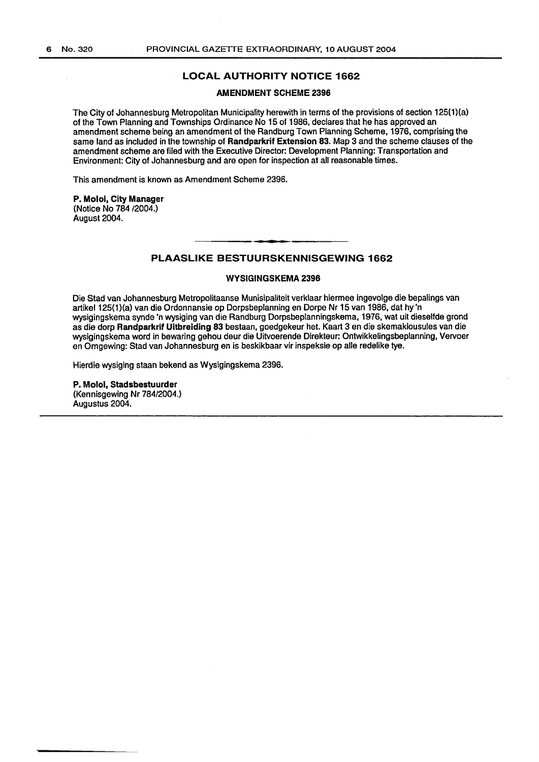## LOCAL AUTHORITY NOTICE 1662

#### AMENDMENT SCHEME 2396

The City of Johannesburg Metropolitan Municipality herewith in terms of the provisions of section 125(1)(a) of the Town Planning and Townships Ordinance No 15 of 1986, declares that he has approved an amendment scheme being an amendment of the Randburg Town Planning Scheme, 1976, comprising the same land as included in the township of Randparkrif Extension 83. Map 3 and the scheme clauses of the amendment scheme are filed with the Executive Director: Development Planning: Transportation and Environment: City of Johannesburg and are open for inspection at all reasonable times.

This amendment is known as Amendment Scheme 2396.

P. Moloi, City Manager (Notice No 784/2004.) August 2004.

#### PLAASLIKE BESTUURSKENNISGEWING 1662

#### WYSIGINGSKEMA 2396

Die Stad van Johannesburg Metropolitaanse Munisipaliteit verklaar hiermee ingevolge die bepalings van artikel125(1)(a) van die Ordonnansie op Dorpsbeplanning en Dorpe Nr 15 van 1986, dat hy 'n wysigingskema synde 'n wysiging van die Randburg Dorpsbeplanningskema, 1976, wat uit dieselfde grand as die dorp Randparkrif Uitbreiding 83 bestaan, goedgekeur het. Kaart 3 en die skemaklousules van die wysigingskema word in bewaring gehou deur die Uitvoerende Direkteur: Ontwikkelingsbeplanning, Vervoer en Omgewing: Stad van Johannesburg en is beskikbaar vir inspeksie op aile redelike tye.

Hierdie wysiging staan bekend as Wysigingskema 2396.

P. Molol, Stadsbestuurder (Kennisgewing Nr 784/2004.) Augustus 2004.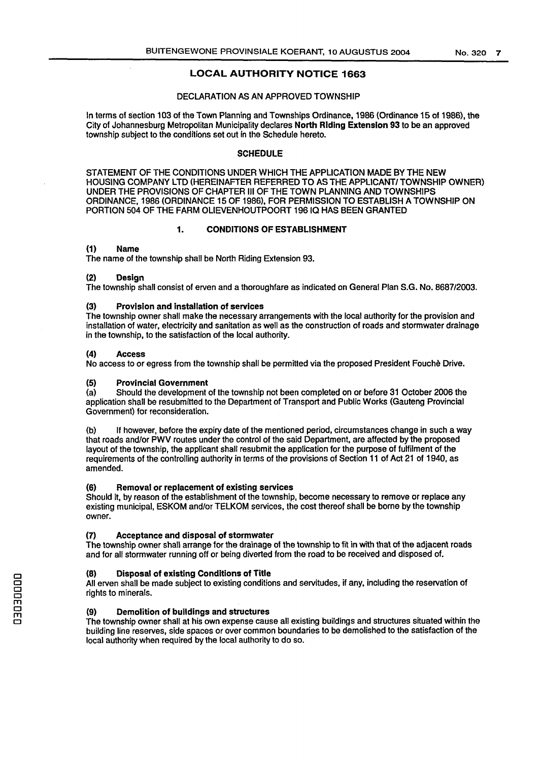## LOCAL AUTHORITY NOTICE 1663

## DECLARATION AS AN APPROVED TOWNSHIP

In terms of section 103 of the Town Planning and Townships Ordinance, 1986 (Ordinance 15 of 1986), the City of Johannesburg Metropolitan Municipality declares North Riding Extension 93 to be an approved township subject to the conditions set out in the Schedule hereto.

#### **SCHEDULE**

STATEMENT OF THE CONDITIONS UNDER WHICH THE APPLICATION MADE BY THE NEW HOUSING COMPANY LTD (HEREINAFTER REFERRED TO AS THE APPLICANT/ TOWNSHIP OWNER) UNDER THE PROVISIONS OF CHAPTER Ill OF THE TOWN PLANNING AND TOWNSHIPS ORDINANCE, 1986 (ORDINANCE 15 OF 1986}, FOR PERMISSION TO ESTABLISH A TOWNSHIP ON PORTION 504 OF THE FARM OLIEVENHOUTPOORT 19610 HAS BEEN GRANTED

### 1. CONDITIONS OF ESTABLISHMENT

#### (1) Name

The name of the township shall be North Riding Extension 93.

#### (2) Design

The township shall consist of erven and a thoroughfare as indicated on General Plan S.G. No. 8687/2003.

#### (3) Provision and installation of services

The township owner shall make the necessary arrangements with the local authority for the provision and installation of water, electricity and sanitation as well as the construction of roads and stormwater drainage in the township, to the satisfaction of the local authority.

#### (4) Access

No access to or egress from the township shall be permitted via the proposed President Fouche Drive.

#### (5) Provincial Government

(a) Should the development of the township not been completed on or before 31 October 2006 the application shall be resubmitted to the Department of Transport and Public Works (Gauteng Provincial Government} for reconsideration.

(b) If however, before the expiry date of the mentioned period, circumstances change in such a way that roads and/or PWV routes under the control of the said Department, are affected by the proposed layout of the township, the applicant shall resubmit the application for the purpose of fulfilment of the requirements of the controlling authority in terms of the provisions of Section 11 of Act 21 of 1940, as amended.

#### (6) Removal or replacement of existing services

Should it, by reason of the establishment of the township, become necessary to remove or replace any existing municipal, ESKOM and/or TELKOM services, the cost thereof shall be borne by the township owner.

#### {7) Acceptance and disposal of stormwater

The township owner shall arrange for the drainage of the township to fit in with that of the adjacent roads and for all stormwater running off or being diverted from the road to be received and disposed of.

#### {8) Disposal of existing Conditions of Title

All erven shall be made subject to existing conditions and servitudes, if any, including the reservation of rights to minerals.

#### (9) Demolition of buildings and structures

The township owner shall at his own expense cause all existing buildings and structures situated within the building line reserves, side spaces or over common boundaries to be demolished to the satisfaction of the local authority when required by the local authority to do so.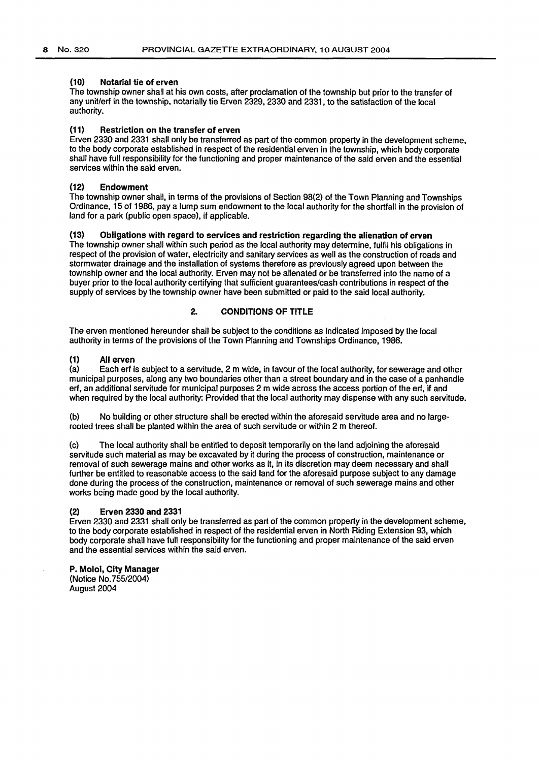#### (10) Notarial tie of erven

The township owner shall at his own costs, after proclamation of the township but prior to the transfer of any unit/erf in the township, notarially tie Erven 2329, 2330 and 2331, to the satisfaction of the local authority.

#### (11) Restriction on the transfer of erven

Erven 2330 and 2331 shall only be transferred as part of the common property in the development scheme, to the body corporate established in respect of the residential erven in the township, which body corporate shall have full responsibility for the functioning and proper maintenance of the said erven and the essential services within the said erven.

#### (12} Endowment

The township owner shall, in terms of the provisions of Section 98(2) of the Town Planning and Townships Ordinance, 15 of 1986, pay a lump sum endowment to the local authority for the shortfall in the provision of land for a park (public open space), if applicable.

### (13) Obligations with regard to services and restriction regarding the alienation of erven

The township owner shall within such period as the local authority may determine, fulfil his obligations in respect of the provision of water, electricity and sanitary services as well as the construction of roads and storm water drainage and the installation of systems therefore as previously agreed upon between the township owner and the local authority. Erven may not be alienated or be transferred into the name of a buyer prior to the local authority certifying that sufficient guarantees/cash contributions in respect of the supply of services by the township owner have been submitted or paid to the said local authority.

## 2. CONDITIONS OF TITLE

The erven mentioned hereunder shall be subject to the conditions as indicated imposed by the local authority in terms of the provisions of the Town Planning and Townships Ordinance, 1986.

### (1} All erven

(a) Each erf is subject to a servitude, 2 m wide, in favour of the local authority, for sewerage and other municipal purposes, along any two boundaries other than a street boundary and in the case of a panhandle erf, an additional servitude for municipal purposes 2m wide across the access portion of the erf, if and when required by the local authority: Provided that the local authority may dispense with any such servitude.

(b) No building or other structure shall be erected within the aforesaid servitude area and no largerooted trees shall be planted within the area of such servitude or within 2 m thereof.

(c) The local authority shall be entitled to deposit temporarily on the land adjoining the aforesaid servitude such material as may be excavated by it during the process of construction, maintenance or removal of such sewerage mains and other works as it, in its discretion may deem necessary and shall further be entitled to reasonable access to the said land for the aforesaid purpose subject to any damage done during the process of the construction, maintenance or removal of such sewerage mains and other works being made good by the local authority.

#### (2) Erven 2330 and 2331

Erven 2330 and 2331 shall only be transferred as part of the common property in the development scheme, to the body corporate established in respect of the residential erven in North Riding Extension 93, which body corporate shall have full responsibility for the functioning and proper maintenance of the said erven and the essential services within the said erven.

P. Moloi, City Manager (Notice No. 755/2004) August 2004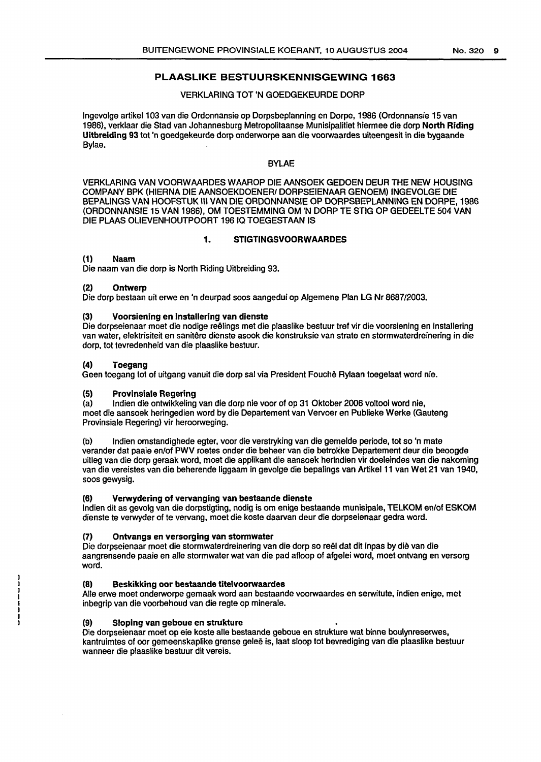## PLAASLIKE BESTUURSKENNISGEWING 1663

#### VERKLARING TOT 'N GOEDGEKEURDE DORP

lngevolge artikel 103 van die Ordonnansie op Dorpsbeplanning en Dorpe, 1986 (Ordonnansie 15 van 1986), verklaar die Stad van Johannesburg Metropolitaanse Munisipalitiet hiermee die dorp North Riding Uitbreldlng 93 tot 'n goedgekeurde dorp onderworpe aan die voorwaardes uiteengesit in die bygaande Bylae.

### BYLAE

VERKLARING VAN VOORWAARDES WAAROP DIE AANSOEK GEDOEN DEUR THE NEW HOUSING COMPANY BPK (HIERNA DIE AANSOEKDOENER/ DORPSEIENAAR GENOEM) INGEVOLGE DIE BEPALINGS VAN HOOFSTUK Ill VAN DIE ORDONNANSIE OP DORPSBEPLANNING EN DORPE, 1986 (ORDONNANSIE 15 VAN 1986), OM TOESTEMMING OM 'N DORP TE STIG OP GEDEELTE 504 VAN DIE PLAAS OLIEVENHOUTPOORT 19610 TOEGESTAAN IS

### 1. STIGTINGSVOORWAARDES

### (1) Naam

Die naam van die dorp is North Riding Uitbreiding 93.

#### (2) Ontwerp

Die dorp bestaan uit erwe en 'n deurpad soos aangedui op Algemene Plan LG Nr 8687/2003.

### (3) Voorsiening en lnstallering van dienste

Die dorpseienaar moet die nodige reelings met die plaaslike bestuur tref vir die voorsiening en installering van water, elektrisiteit en sanitêre dienste asook die konstruksie van strate en stormwaterdreinering in die dorp, tot tevredenheid van die plaaslike bestuur.

### (4) Toegang

Geen toegang tot of uitgang vanuit die dorp sal via President Fouche Rylaan toegelaat word nie.

## (5) Provlnsiale Regering

(a) Indian die ontwikkeling van die dorp nie voor of op 31 Oktober 2006 voltooi word nie, moet die aansoek heringedien word by die Departement van Vervoer en Publieke Werke (Gauteng Provinsiale Regering) vir heroorweging.

(b) lndien omstandighede egter, voor die verstryking van die gemelde periode, tot so 'n mate verander dat paaie en/of PWV roetes onder die beheer van die betrokke Departement deur die beoogde uitleg van die dorp geraak word, moet die applikant die aansoek herindien vir doeleindes van die nakoming van die vereistes van die beherende liggaam in gevolge die bepalings van Artikel 11 van Wet 21 van 1940, soos gewysig.

#### (6) Verwydering of vervanging van bestaande dienste

lndien dit as gevolg van die dorpstigting, nodig is om enige bestaande munisipale, TELKOM en/of ESKOM dienste te verwyder of te vervang, moet die koste daarvan deur die dorpseienaar gedra word.

## (7) Ontvangs en versorglng van stormwater

Die dorpseienaar moet die stormwaterdreinering van die dorp so reël dat dit inpas by die van die aangrensende paaie en aile stormwater wat van die pad afloop of afgelei word, moet ontvang en versorg word.

## {8) Beskikking oor bestaande titelvoorwaardes

Aile erwe moet onderworpe gemaak word aan bestaande voorwaardes en serwitute, indien enige, met inbegrip van die voorbehoud van die regte op minerale.

#### (9) Sloping van geboue en strukture

Die dorpseienaar moet op eie koste aile bestaande geboue en strukture wat binne boulynreserwes, kantruimtes of oor gemeenskaplike grense gelee is, laat sloop tot bevrediging van die plaaslike bestuur wanneer die plaaslike bestuur dit vereis.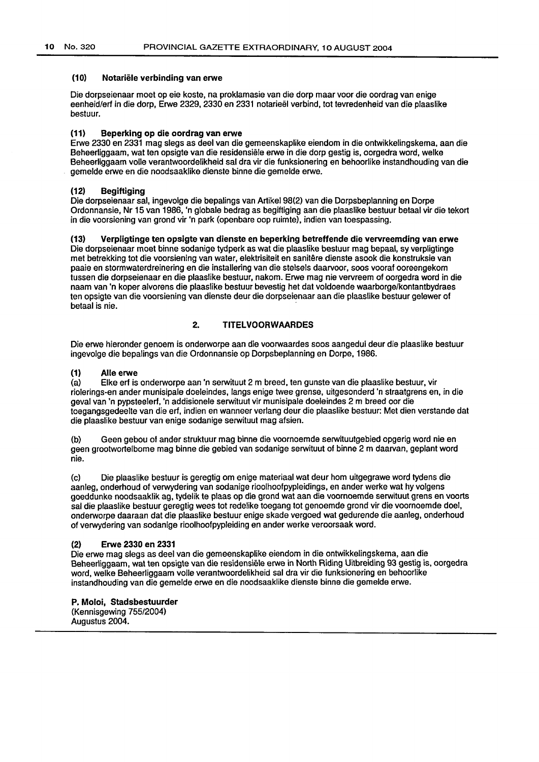#### (10) Notariële verbinding van erwe

Die dorpseienaar moet op eie koste, na proklamasie van die dorp maar voor die oordrag van enige eenheid/erf in die dorp, Erwe 2329, 2330 en 2331 notarieel verbind, tot tevredenheid van die plaaslike bestuur.

## (11) Beperklng op die oordrag van erwe

Erwe 2330 en 2331 mag slegs as deel van die gemeenskaplike eiendom in die ontwikkefingskema, aan die Beheerliggaam, wat ten opsigte van die residensiele erwe in die dorp gestig is, oorgedra word, welke Beheerfiggaam valle verantwoordelikheid sal dra vir die funksionering en behoorlike instandhouding van die gemelde erwe en die noodsaaklike dienste binne die gemelde erwe.

#### (12) Begiftiging

Die dorpseienaar sal, ingevolge die bepalings van Artikel 98(2) van die Dorpsbeplanning en Dorpe Ordonnansie, Nr 15 van 1986, 'n globale bedrag as begiftiging aan die plaaslike bestuur betaal vir die tekort in die voorsiening van grond vir 'n park (openbare oop ruimte), indien van toespassing.

## (13) Verpligtinge ten opsigte van dienste en beperking betreffende die vervreemding van erwe

Die dorpseienaar moet binne sodanige tydperk as wat die plaaslike bestuur mag bepaal, sy verpligtinge met betrekking tot die voorsiening van water, elektrisiteit en sanitere dienste asook die konstruksie van paaie en stormwaterdreinering en die installering van die stelsels daarvoor, soos vooraf ooreengekom tussen die dorpseienaar en die plaaslike bestuur, nakom. Erwe mag nie vervreem of oorgedra word in die naam van 'n koper alvorens die plaaslike bestuur bevestig het dat voldoende waarborge/kontantbydraes ten opsigte van die voorsiening van dienste deur die dorpseienaar aan die plaaslike bestuur gelewer of betaal is nie.

## 2. TITELVOORWAARDES

Die erwe hieronder genoem is onderworpe aan die voorwaardes soos aangedui deur die plaaslike bestuur ingevolge die bepalings van die Ordonnansie op Dorpsbeplanning en Dorpe, 1986.

# (1) Alle erwe<br>(a) Elke erf is

Elke erf is onderworpe aan 'n serwituut 2 m breed, ten gunste van die plaaslike bestuur, vir riolerings-en ander munisipale doeleindes, langs enige twee grense, uitgesonderd 'n straatgrens en, in die geval van 'n pypsteelerf, 'n addisionele serwituut vir munisipale doeleindes 2m breed oor die toegangsgedeelte van die erf, indien en wanneer verlang deur die plaaslike bestuur: Met dien verstande dat die plaaslike bestuur van enige sodanige serwituut mag afsien.

(b) Geen gebou of ander struktuur mag binne die voornoemde serwituutgebied opgerig word nie en geen grootwortelbome mag binne die gebied van sodanige serwituut of binne 2 m daarvan, geplant word nie.

(c) Die plaaslike bestuur is geregtig om enige materiaal wat deur hom uitgegrawe word tydens die aanleg, onderhoud of verwydering van sodanige rioolhoofpypleidings, en ander werke wat hy volgens goeddunke noodsaaklik ag, tydelik te plaas op die grond wat aan die voornoemde serwituut grens en voorts sal die plaaslike bestuur geregtig wees tot redelike toegang tot genoemde grond vir die voornoemde doel, onderworpe daaraan dat die plaaslike bestuur enige skade vergoed wat gedurende die aanleg, onderhoud of verwydering van sodanige rioolhoofpypleiding en ander werke veroorsaak word.

#### (2) Erwe 2330 en 2331

Die erwe mag slegs as deel van die gemeenskaplike eiendom in die ontwikkelingskema, aan die Beheerliggaam, wat ten opsigte van die residensiele erwe in North Riding Uitbreiding 93 gestig is, oorgedra word, welke Beheerliggaam valle verantwoordelikheid sal dra vir die funksionering en behoorlike instandhouding van die gemelde erwe en die noodsaaklike dienste binne die gemelde erwe.

P. Moloi, Stadsbestuurder (Kennisgewing 755/2004) Augustus 2004.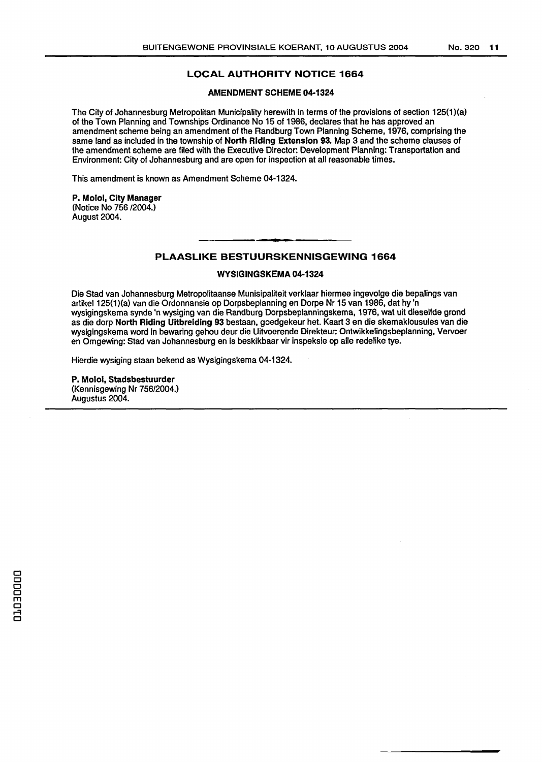## **LOCAL AUTHORITY NOTICE 1664**

#### **AMENDMENT SCHEME 04-1324**

The City of Johannesburg Metropolitan Municipality herewith in terms of the provisions of section 125(1)(a) of the Town Planning and Townships Ordinance No 15 of 1986, declares that he has approved an amendment scheme being an amendment of the Randburg Town Planning Scheme, 1976, comprising the same land as included in the township of **North Riding Extension 93.** Map 3 and the scheme clauses of the amendment scheme are filed with the Executive Director: Development Planning: Transportation and Environment: City of Johannesburg and are open for inspection at all reasonable times.

This amendment is known as Amendment Scheme 04-1324.

#### **P. Moloi, City Manager**  (Notice No 756/2004.) August 2004.

### **PLAASLIKE BESTUURSKENNISGEWING 1664**

#### **WYSIGINGSKEMA 04-1324**

Die Stad van Johannesburg Metropolitaanse Munisipaliteit verklaar hiermee ingevolge die bepalings van artikel125(1)(a) van die Ordonnansie op Dorpsbeplanning en Dorpe Nr 15 van 1986, dat hy 'n wysigingskema synde 'n wysiging van die Randburg Dorpsbeplanningskema, 1976, wat uit dieselfde grond as die dorp **North Riding Ultbrelding 93** bestaan, goedgekeur het. Kaart 3 en die skemaklousules van die wysigingskema word in bewaring gehou deur die Uitvoerende Direkteur: Ontwikkelingsbeplanning, Vervoer en Omgewing: Stad van Johannesburg en is beskikbaar vir inspeksie op aile redelike tye.

Hierdie wysiging staan bekend as Wysigingskema 04-1324.

**P. Molol, Stadsbestuurder**  (Kennisgewing Nr 756/2004.) Augustus 2004.

CJ